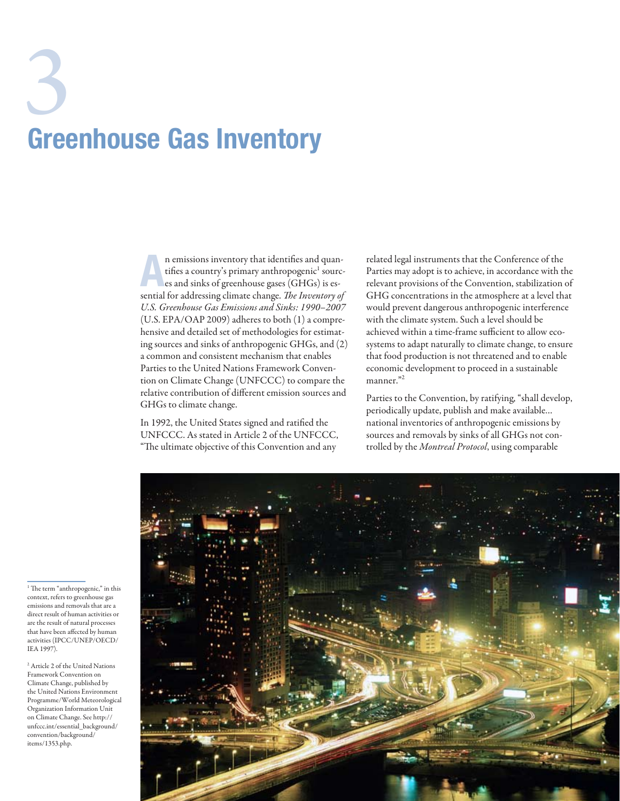# 3 Greenhouse Gas Inventory

n emissions inventory that identifies and quan-<br>tifies a country's primary anthropogenic<sup>1</sup> sources<br>es and sinks of greenhouse gases (GHGs) is es-<br>regular dimensional integration of the Linux time of tifies a country's primary anthropogenic $^{\rm l}$  sourcsential for addressing climate change. *The Inventory of U.S. Greenhouse Gas Emissions and Sinks: 1990–2007* (U.S. EPA/OAP 2009) adheres to both (1) a comprehensive and detailed set of methodologies for estimating sources and sinks of anthropogenic GHGs, and (2) a common and consistent mechanism that enables Parties to the United Nations Framework Convention on Climate Change (UNFCCC) to compare the relative contribution of different emission sources and GHGs to climate change.

In 1992, the United States signed and ratified the UNFCCC. As stated in Article 2 of the UNFCCC, "The ultimate objective of this Convention and any

related legal instruments that the Conference of the Parties may adopt is to achieve, in accordance with the relevant provisions of the Convention, stabilization of GHG concentrations in the atmosphere at a level that would prevent dangerous anthropogenic interference with the climate system. Such a level should be achieved within a time-frame sufficient to allow ecosystems to adapt naturally to climate change, to ensure that food production is not threatened and to enable economic development to proceed in a sustainable manner."<sup>2</sup>

Parties to the Convention, by ratifying, "shall develop, periodically update, publish and make available… national inventories of anthropogenic emissions by sources and removals by sinks of all GHGs not controlled by the *Montreal Protocol*, using comparable



<sup>1</sup> The term "anthropogenic," in this context, refers to greenhouse gas emissions and removals that are a direct result of human activities or are the result of natural processes that have been affected by human activities (IPCC/UNEP/OECD/ IEA 1997).

2 Article 2 of the United Nations Framework Convention on Climate Change, published by the United Nations Environment Programme/World Meteorological Organization Information Unit on Climate Change. See http:// unfccc.int/essential\_background/ convention/background/ items/1353.php.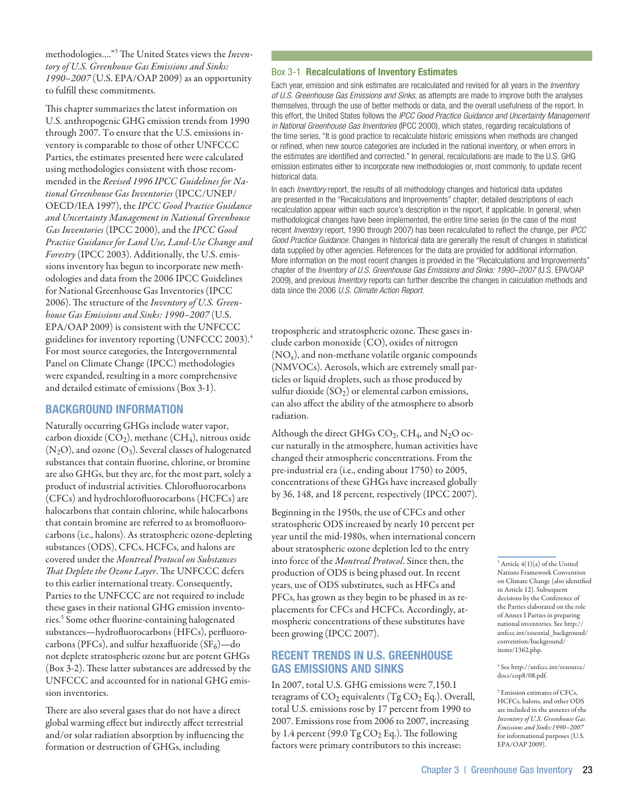methodologies…."3 The United States views the *Inventory of U.S. Greenhouse Gas Emissions and Sinks: 1990–2007* (U.S. EPA/OAP 2009) as an opportunity to fulfill these commitments.

This chapter summarizes the latest information on U.S. anthropogenic GHG emission trends from 1990 through 2007. To ensure that the U.S. emissions inventory is comparable to those of other UNFCCC Parties, the estimates presented here were calculated using methodologies consistent with those recommended in the *Revised 1996 IPCC Guidelines for National Greenhouse Gas Inventories* (IPCC/UNEP/ OECD/IEA 1997), the *IPCC Good Practice Guidance and Uncertainty Management in National Greenhouse Gas Inventories* (IPCC 2000), and the *IPCC Good Practice Guidance for Land Use, Land-Use Change and Forestry* (IPCC 2003). Additionally, the U.S. emissions inventory has begun to incorporate new methodologies and data from the 2006 IPCC Guidelines for National Greenhouse Gas Inventories (IPCC 2006). The structure of the *Inventory of U.S. Greenhouse Gas Emissions and Sinks: 1990–2007* (U.S. EPA/OAP 2009) is consistent with the UNFCCC guidelines for inventory reporting (UNFCCC 2003).<sup>4</sup> For most source categories, the Intergovernmental Panel on Climate Change (IPCC) methodologies were expanded, resulting in a more comprehensive and detailed estimate of emissions (Box 3-1).

## Background Information

Naturally occurring GHGs include water vapor, carbon dioxide  $(CO_2)$ , methane  $(CH_4)$ , nitrous oxide  $(N_2O)$ , and ozone  $(O_3)$ . Several classes of halogenated substances that contain fluorine, chlorine, or bromine are also GHGs, but they are, for the most part, solely a product of industrial activities. Chlorofluorocarbons (CFCs) and hydrochlorofluorocarbons (HCFCs) are halocarbons that contain chlorine, while halocarbons that contain bromine are referred to as bromofluorocarbons (i.e., halons). As stratospheric ozone-depleting substances (ODS), CFCs, HCFCs, and halons are covered under the *Montreal Protocol on Substances That Deplete the Ozone Layer*. The UNFCCC defers to this earlier international treaty. Consequently, Parties to the UNFCCC are not required to include these gases in their national GHG emission inventories.<sup>5</sup> Some other fluorine-containing halogenated substances—hydrofluorocarbons (HFCs), perfluorocarbons (PFCs), and sulfur hexafluoride  $(SF_6)$ —do not deplete stratospheric ozone but are potent GHGs (Box 3-2). These latter substances are addressed by the UNFCCC and accounted for in national GHG emission inventories.

There are also several gases that do not have a direct global warming effect but indirectly affect terrestrial and/or solar radiation absorption by influencing the formation or destruction of GHGs, including

#### Box 3-1 Recalculations of Inventory Estimates

Each year, emission and sink estimates are recalculated and revised for all years in the *Inventory of U.S. Greenhouse Gas Emissions and Sinks*, as attempts are made to improve both the analyses themselves, through the use of better methods or data, and the overall usefulness of the report. In this effort, the United States follows the *IPCC Good Practice Guidance and Uncertainty Management in National Greenhouse Gas Inventories* (IPCC 2000), which states, regarding recalculations of the time series, "It is good practice to recalculate historic emissions when methods are changed or refined, when new source categories are included in the national inventory, or when errors in the estimates are identified and corrected." In general, recalculations are made to the U.S. GHG emission estimates either to incorporate new methodologies or, most commonly, to update recent historical data.

In each *Inventory* report, the results of all methodology changes and historical data updates are presented in the "Recalculations and Improvements" chapter; detailed descriptions of each recalculation appear within each source's description in the report, if applicable. In general, when methodological changes have been implemented, the entire time series (in the case of the most recent *Inventory* report, 1990 through 2007) has been recalculated to reflect the change, per *IPCC Good Practice Guidance*. Changes in historical data are generally the result of changes in statistical data supplied by other agencies. References for the data are provided for additional information. More information on the most recent changes is provided in the "Recalculations and Improvements" chapter of the *Inventory of U.S. Greenhouse Gas Emissions and Sinks: 1990–2007* (U.S. EPA/OAP 2009), and previous *Inventory* reports can further describe the changes in calculation methods and data since the 2006 *U.S. Climate Action Report*.

tropospheric and stratospheric ozone. These gases include carbon monoxide (CO), oxides of nitrogen  $(NO<sub>x</sub>)$ , and non-methane volatile organic compounds (NMVOCs). Aerosols, which are extremely small particles or liquid droplets, such as those produced by sulfur dioxide  $(SO<sub>2</sub>)$  or elemental carbon emissions, can also affect the ability of the atmosphere to absorb radiation.

Although the direct GHGs CO<sub>2</sub>, CH<sub>4</sub>, and N<sub>2</sub>O occur naturally in the atmosphere, human activities have changed their atmospheric concentrations. From the pre-industrial era (i.e., ending about 1750) to 2005, concentrations of these GHGs have increased globally by 36, 148, and 18 percent, respectively (IPCC 2007).

Beginning in the 1950s, the use of CFCs and other stratospheric ODS increased by nearly 10 percent per year until the mid-1980s, when international concern about stratospheric ozone depletion led to the entry into force of the *Montreal Protocol*. Since then, the production of ODS is being phased out. In recent years, use of ODS substitutes, such as HFCs and PFCs, has grown as they begin to be phased in as replacements for CFCs and HCFCs. Accordingly, atmospheric concentrations of these substitutes have been growing (IPCC 2007).

# Recent Trends in U.S. Greenhouse Gas Emissions and Sinks

In 2007, total U.S. GHG emissions were 7,150.1 teragrams of  $CO<sub>2</sub>$  equivalents (Tg  $CO<sub>2</sub>$  Eq.). Overall, total U.S. emissions rose by 17 percent from 1990 to 2007. Emissions rose from 2006 to 2007, increasing by 1.4 percent (99.0  $TgCO<sub>2</sub>$  Eq.). The following factors were primary contributors to this increase:

 $3$  Article  $4(1)(a)$  of the United Nations Framework Convention on Climate Change (also identified in Article 12). Subsequent decisions by the Conference of the Parties elaborated on the role of Annex I Parties in preparing national inventories. See http:// unfccc.int/essential\_background/ convention/background/ items/1362.php.

4 See http://unfccc.int/resource/ docs/cop8/08.pdf.

5 Emission estimates of CFCs, HCFCs, halons, and other ODS are included in the annexes of the *Inventory of U.S. Greenhouse Gas Emissions and Sinks:1990–2007* for informational purposes (U.S. EPA/OAP 2009).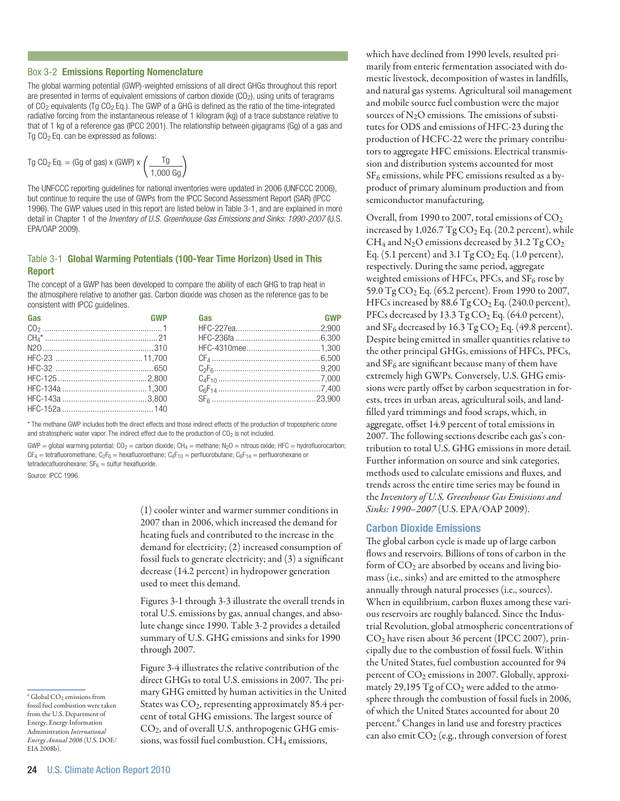#### Box 3-2 Emissions Reporting Nomenclature

The global warming potential (GWP)-weighted emissions of all direct GHGs throughout this report are presented in terms of equivalent emissions of carbon dioxide  $(CO<sub>2</sub>)$ , using units of teragrams of  $CO<sub>2</sub>$  equivalents (Tg  $CO<sub>2</sub>$  Eq.). The GWP of a GHG is defined as the ratio of the time-integrated radiative forcing from the instantaneous release of 1 kilogram (kg) of a trace substance relative to that of 1 kg of a reference gas (IPCC 2001). The relationship between gigagrams (Gg) of a gas and Tg  $CO<sub>2</sub>$  Eq. can be expressed as follows:

$$
Tg CO_2 Eq. = (Gg of gas) \times (GWP) \times \left(\frac{Tg}{1,000 \text{ Gg}}\right)
$$

The UNFCCC reporting guidelines for national inventories were updated in 2006 (UNFCCC 2006), but continue to require the use of GWPs from the IPCC Second Assessment Report (SAR) (IPCC 1996). The GWP values used in this report are listed below in Table 3-1, and are explained in more detail in Chapter 1 of the *Inventory of U.S. Greenhouse Gas Emissions and Sinks: 1990-2007* (U.S. EPA/OAP 2009).

## Table 3-1 Global Warming Potentials (100-Year Time Horizon) Used in This Report

The concept of a GWP has been developed to compare the ability of each GHG to trap heat in the atmosphere relative to another gas. Carbon dioxide was chosen as the reference gas to be consistent with IPCC guidelines.

| Gas | <b>GWP</b> | Gas |  |
|-----|------------|-----|--|
|     |            |     |  |
|     |            |     |  |
|     |            |     |  |
|     |            |     |  |
|     |            |     |  |
|     |            |     |  |
|     |            |     |  |
|     |            |     |  |
|     |            |     |  |

\* The methane GWP includes both the direct effects and those indirect effects of the production of tropospheric ozone and stratospheric water vapor. The indirect effect due to the production of  $CO<sub>2</sub>$  is not included.

GWP = global warming potential; CO<sub>2</sub> = carbon dioxide; CH<sub>4</sub> = methane; N<sub>2</sub>O = nitrous oxide; HFC = hydrofluorocarbon;  $CF_4 = t$ etrafluoromethane;  $C_2F_6 = h$ exafluoroethane;  $C_4F_{10} =$  perfluorobutane;  $C_6F_{14} =$  perfluorohexane or tetradecafluorohexane;  $SF_6$  = sulfur hexafluoride.

Source: IPCC 1996.

(1) cooler winter and warmer summer conditions in 2007 than in 2006, which increased the demand for heating fuels and contributed to the increase in the demand for electricity; (2) increased consumption of fossil fuels to generate electricity; and (3) a significant decrease (14.2 percent) in hydropower generation used to meet this demand.

Figures 3-1 through 3-3 illustrate the overall trends in total U.S. emissions by gas, annual changes, and absolute change since 1990. Table 3-2 provides a detailed summary of U.S. GHG emissions and sinks for 1990 through 2007.

Figure 3-4 illustrates the relative contribution of the direct GHGs to total U.S. emissions in 2007. The primary GHG emitted by human activities in the United States was  $CO<sub>2</sub>$ , representing approximately 85.4 percent of total GHG emissions. The largest source of CO2, and of overall U.S. anthropogenic GHG emissions, was fossil fuel combustion.  $CH_4$  emissions,

which have declined from 1990 levels, resulted primarily from enteric fermentation associated with domestic livestock, decomposition of wastes in landfills, and natural gas systems. Agricultural soil management and mobile source fuel combustion were the major sources of  $N_2O$  emissions. The emissions of substitutes for ODS and emissions of HFC-23 during the production of HCFC-22 were the primary contributors to aggregate HFC emissions. Electrical transmission and distribution systems accounted for most SF<sub>6</sub> emissions, while PFC emissions resulted as a byproduct of primary aluminum production and from semiconductor manufacturing.

Overall, from 1990 to 2007, total emissions of  $CO<sub>2</sub>$ increased by  $1,026.7$  Tg  $CO<sub>2</sub>$  Eq. (20.2 percent), while  $CH_4$  and N<sub>2</sub>O emissions decreased by 31.2 Tg CO<sub>2</sub> Eq. (5.1 percent) and  $3.1$  Tg CO<sub>2</sub> Eq. (1.0 percent), respectively. During the same period, aggregate weighted emissions of HFCs, PFCs, and  $SF<sub>6</sub>$  rose by 59.0 Tg  $CO_2$  Eq. (65.2 percent). From 1990 to 2007, HFCs increased by  $88.6$  Tg CO<sub>2</sub> Eq. (240.0 percent), PFCs decreased by 13.3 Tg CO<sub>2</sub> Eq. (64.0 percent), and  $SF_6$  decreased by 16.3 Tg  $CO_2$  Eq. (49.8 percent). Despite being emitted in smaller quantities relative to the other principal GHGs, emissions of HFCs, PFCs, and  $SF<sub>6</sub>$  are significant because many of them have extremely high GWPs. Conversely, U.S. GHG emissions were partly offset by carbon sequestration in forests, trees in urban areas, agricultural soils, and landfilled yard trimmings and food scraps, which, in aggregate, offset 14.9 percent of total emissions in 2007. The following sections describe each gas's contribution to total U.S. GHG emissions in more detail. Further information on source and sink categories, methods used to calculate emissions and fluxes, and trends across the entire time series may be found in the *Inventory of U.S. Greenhouse Gas Emissions and Sinks: 1990–2007* (U.S. EPA/OAP 2009).

## Carbon Dioxide Emissions

The global carbon cycle is made up of large carbon flows and reservoirs. Billions of tons of carbon in the form of  $CO<sub>2</sub>$  are absorbed by oceans and living biomass (i.e., sinks) and are emitted to the atmosphere annually through natural processes (i.e., sources). When in equilibrium, carbon fluxes among these various reservoirs are roughly balanced. Since the Industrial Revolution, global atmospheric concentrations of CO2 have risen about 36 percent (IPCC 2007), principally due to the combustion of fossil fuels. Within the United States, fuel combustion accounted for 94 percent of CO<sub>2</sub> emissions in 2007. Globally, approximately 29,195  $Tg$  of  $CO<sub>2</sub>$  were added to the atmosphere through the combustion of fossil fuels in 2006, of which the United States accounted for about 20 percent.<sup>6</sup> Changes in land use and forestry practices can also emit  $CO<sub>2</sub>$  (e.g., through conversion of forest

6 Global CO2 emissions from fossil fuel combustion were taken from the U.S. Department of Energy, Energy Information Administration *International Energy Annual 2006* (U.S. DOE/

EIA 2008b).

<sup>24</sup> U.S. Climate Action Report 2010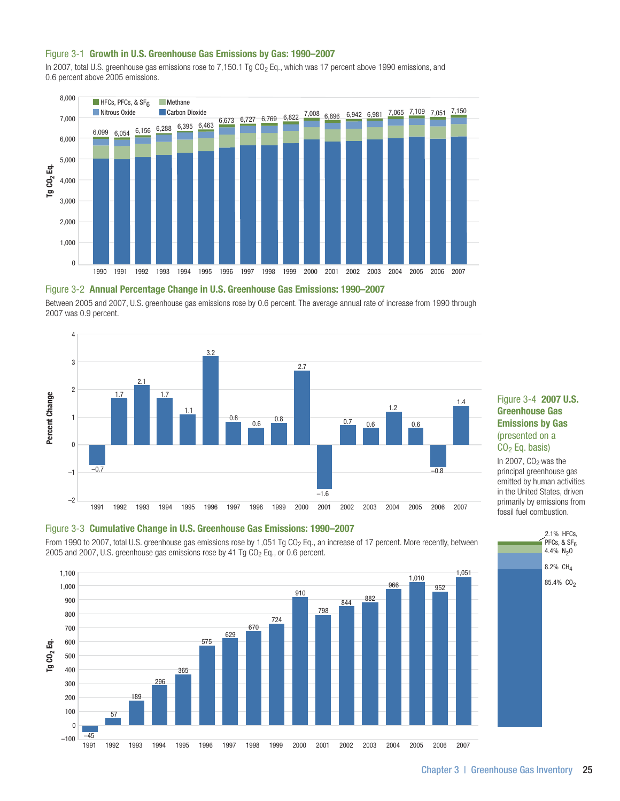#### Figure 3-1 Growth in U.S. Greenhouse Gas Emissions by Gas: 1990–2007

In 2007, total U.S. greenhouse gas emissions rose to 7,150.1 Tg CO<sub>2</sub> Eq., which was 17 percent above 1990 emissions, and 0.6 percent above 2005 emissions.



#### Figure 3-2 Annual Percentage Change in U.S. Greenhouse Gas Emissions: 1990–2007

Between 2005 and 2007, U.S. greenhouse gas emissions rose by 0.6 percent. The average annual rate of increase from 1990 through 2007 was 0.9 percent.



# Figure 3-3 Cumulative Change in U.S. Greenhouse Gas Emissions: 1990–2007

From 1990 to 2007, total U.S. greenhouse gas emissions rose by 1,051 Tg CO<sub>2</sub> Eq., an increase of 17 percent. More recently, between 2005 and 2007, U.S. greenhouse gas emissions rose by 41 Tg  $CO<sub>2</sub>$  Eq., or 0.6 percent.



## Figure 3-4 2007 U.S. Greenhouse Gas Emissions by Gas (presented on a  $CO<sub>2</sub>$  Eq. basis)

In 2007,  $CO<sub>2</sub>$  was the principal greenhouse gas emitted by human activities in the United States, driven primarily by emissions from fossil fuel combustion.

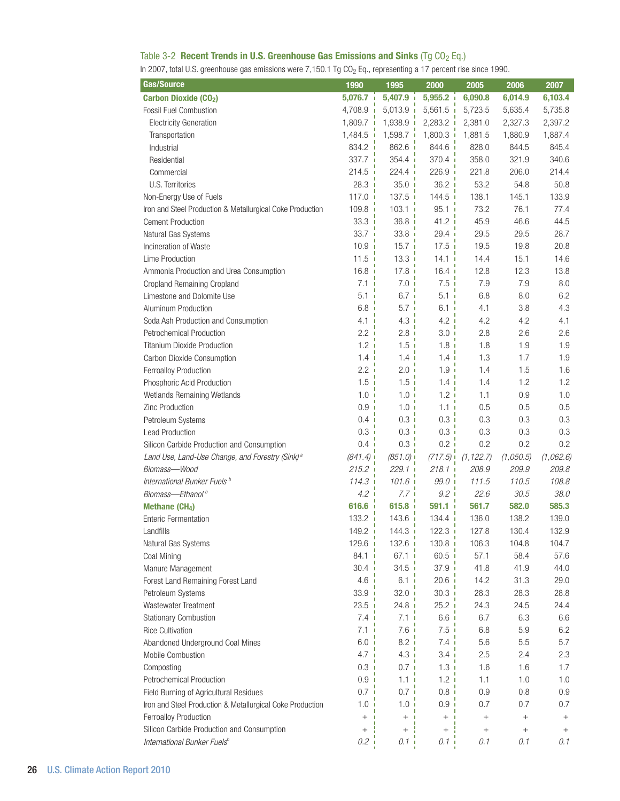# Table 3-2 Recent Trends in U.S. Greenhouse Gas Emissions and Sinks (Tg  $CO<sub>2</sub>$  Eq.)

In 2007, total U.S. greenhouse gas emissions were 7,150.1 Tg CO<sub>2</sub> Eq., representing a 17 percent rise since 1990.

| Gas/Source                                                  | 1990                    | 1995                    | 2000               | 2005       | 2006            | 2007            |
|-------------------------------------------------------------|-------------------------|-------------------------|--------------------|------------|-----------------|-----------------|
| <b>Carbon Dioxide (CO2)</b>                                 | 5,076.7                 | $5,407.9$ i             | 5,955.2            | 6,090.8    | 6,014.9         | 6,103.4         |
| <b>Fossil Fuel Combustion</b>                               | 4,708.9<br>$\mathbf{I}$ | $5,013.9$ i             | $5,561.5$ i        | 5,723.5    | 5,635.4         | 5,735.8         |
| <b>Electricity Generation</b>                               | $1,809.7$ i             | $1,938.9$ i             | $2,283.2$ i        | 2,381.0    | 2,327.3         | 2,397.2         |
| Transportation                                              | 1,484.5                 | 1,598.7                 | $1,800.3$ i        | 1,881.5    | 1,880.9         | 1,887.4         |
| Industrial                                                  | 834.2 i                 | 862.6                   | 844.6 i            | 828.0      | 844.5           | 845.4           |
| Residential                                                 | 337.7 i                 | 354.4                   | 370.4 <sub>1</sub> | 358.0      | 321.9           | 340.6           |
| Commercial                                                  | 214.5                   | 224.4                   | 226.9              | 221.8      | 206.0           | 214.4           |
| U.S. Territories                                            | 28.3                    | 35.0<br><b>I</b>        | 36.2<br><b>I</b>   | 53.2       | 54.8            | 50.8            |
| Non-Energy Use of Fuels                                     | 117.0                   | 137.5<br>$\blacksquare$ | 144.5<br>ı         | 138.1      | 145.1           | 133.9           |
| Iron and Steel Production & Metallurgical Coke Production   | 109.8                   | 103.1                   | 95.1<br>л          | 73.2       | 76.1            | 77.4            |
| <b>Cement Production</b>                                    | 33.3                    | $36.8$ i                | 41.2 i             | 45.9       | 46.6            | 44.5            |
| Natural Gas Systems                                         | 33.7                    | 33.8 <sub>1</sub>       | 29.4 <sub>1</sub>  | 29.5       | 29.5            | 28.7            |
| Incineration of Waste                                       | 10.9                    | 15.7 i                  | 17.5 <sub>1</sub>  | 19.5       | 19.8            | 20.8            |
| Lime Production                                             | 11.5                    | 13.3 i                  | 14.1 <sub>1</sub>  | 14.4       | 15.1            | 14.6            |
| Ammonia Production and Urea Consumption                     | 16.8                    | 17.8 i                  | $16.4$ i           | 12.8       | 12.3            | 13.8            |
| Cropland Remaining Cropland                                 | 7.1                     | 7.0 <sub>1</sub>        | 7.5i               | 7.9        | 7.9             | 8.0             |
| Limestone and Dolomite Use                                  | 5.1                     | 6.7 <sub>1</sub>        | 5.1 i              | 6.8        | 8.0             | 6.2             |
| Aluminum Production                                         | 6.8                     | 5.7i                    | $6.1$ i            | 4.1        | 3.8             | 4.3             |
| Soda Ash Production and Consumption                         | 4.1                     | 4.3i                    | 4.2i               | 4.2        | 4.2             | 4.1             |
| <b>Petrochemical Production</b>                             | 2.2                     | 2.8 <sub>i</sub>        | 3.0 <sub>i</sub>   | 2.8        | 2.6             | 2.6             |
| <b>Titanium Dioxide Production</b>                          | 1.2 <sub>i</sub>        | $1.5$ i                 | 1.8i               | 1.8        | 1.9             | 1.9             |
| Carbon Dioxide Consumption                                  | $1.4 \,$ i              | 1.4 i                   | 1.4i               | 1.3        | 1.7             | 1.9             |
| Ferroalloy Production                                       | 2.2 i                   | 2.0 i                   | 1.9i               | 1.4        | 1.5             | 1.6             |
| Phosphoric Acid Production                                  | $1.5$ i                 | 1.5 <sub>i</sub>        | 1.4 <sub>1</sub>   | 1.4        | 1.2             | 1.2             |
| Wetlands Remaining Wetlands                                 | 1.0 <sub>1</sub>        | 1.0 i                   | 1.2i               | 1.1        | 0.9             | 1.0             |
| Zinc Production                                             | 0.9                     | 1.0 <sub>1</sub>        | 1.1 i              | 0.5        | 0.5             | 0.5             |
| Petroleum Systems                                           | 0.4                     | 0.3 i                   | 0.3 i              | 0.3        | 0.3             | 0.3             |
| <b>Lead Production</b>                                      | 0.3                     | 0.3 i                   | $0.3$ i            | 0.3        | 0.3             | 0.3             |
| Silicon Carbide Production and Consumption                  | 0.4                     | $0.3 -$                 | $0.2$ i            | 0.2        | 0.2             | 0.2             |
| Land Use, Land-Use Change, and Forestry (Sink) <sup>a</sup> | (841.4)                 | $(851.0)$ i             | (717.5)            | (1, 122.7) | (1,050.5)       | (1,062.6)       |
| Biomass-Wood                                                | $215.2$ i               | $229.1$ i               | $218.1$ i          | 208.9      | 209.9           | 209.8           |
| International Bunker Fuels <sup>b</sup>                     | 114.3                   | $101.6$ i               | $99.0$ i           | 111.5      | 110.5           | 108.8           |
| Biomass-Ethanol <sup>b</sup>                                | 4.2 <sub>1</sub>        | 7.7 <sub>1</sub>        | $9.2\phantom{0}i$  | 22.6       | 30.5            | 38.0            |
| Methane (CH <sub>4</sub> )                                  | 616.6                   | 615.8                   | $591.1 -$          | 561.7      | 582.0           | 585.3           |
| <b>Enteric Fermentation</b>                                 | 133.2                   | 143.6                   | $134.4$ i          | 136.0      | 138.2           | 139.0           |
| Landfills                                                   | ı<br>149.2              | ٠<br>144.3              | ٠<br>$122.3$ i     | 127.8      | 130.4           | 132.9           |
| Natural Gas Systems                                         | $129.6$ $\blacksquare$  | $132.6$ $\blacksquare$  | $130.8$ i          | 106.3      | 104.8           | 104.7           |
| Coal Mining                                                 | 84.1                    | 67.1 i                  | 60.5 i             | 57.1       | 58.4            | 57.6            |
| Manure Management                                           | 30.4                    | 34.5                    | 37.9 i             | 41.8       | 41.9            | 44.0            |
| Forest Land Remaining Forest Land                           | 4.6                     | 6.1 <sub>1</sub>        | $20.6$ i           | 14.2       | 31.3            | 29.0            |
| Petroleum Systems                                           | 33.9                    | 32.0 i                  | $30.3 -$           | 28.3       | 28.3            | 28.8            |
| Wastewater Treatment                                        | 23.5                    | 24.8 i                  | 25.2 i             | 24.3       | 24.5            | 24.4            |
| <b>Stationary Combustion</b>                                | 7.4                     | 7.1 i                   | $6.6$ i            | 6.7        | 6.3             | 6.6             |
| <b>Rice Cultivation</b>                                     | 7.1                     | 7.6i                    | 7.5i               | 6.8        | 5.9             | 6.2             |
| Abandoned Underground Coal Mines                            | 6.0 <sub>1</sub>        | 8.2 i                   | 7.4i               | 5.6        | 5.5             | 5.7             |
| Mobile Combustion                                           | 4.7 <sub>1</sub>        | 4.3i                    | 3.4 <sub>1</sub>   | 2.5        | 2.4             | 2.3             |
| Composting                                                  | $0.3$ i                 | 0.7 i                   | 1.3i               | 1.6        | 1.6             | 1.7             |
| Petrochemical Production                                    | 0.9 <sub>1</sub>        | 1.1 i                   | 1.2i               | 1.1        | 1.0             | 1.0             |
| Field Burning of Agricultural Residues                      | 0.7 <sub>1</sub>        | 0.7 i                   | 0.8 i              | 0.9        | 0.8             | 0.9             |
| Iron and Steel Production & Metallurgical Coke Production   | $1.0\,$                 | 1.0 <sub>1</sub>        | 0.9 <sub>1</sub>   | 0.7        | 0.7             | 0.7             |
| Ferroalloy Production                                       | $^{+}$                  | $^+$                    | $^{+}$             |            | $\! + \!\!\!\!$ | $\! + \!\!\!\!$ |
| Silicon Carbide Production and Consumption                  | $^{+}$                  | $^{+}$                  | $^+$               | $^{+}$     | $\! + \!\!\!\!$ | $^{+}$          |
| International Bunker Fuelsb                                 | $0.2 -$                 | 0.11                    | 0.11               | 0.1        | 0.1             | 0.1             |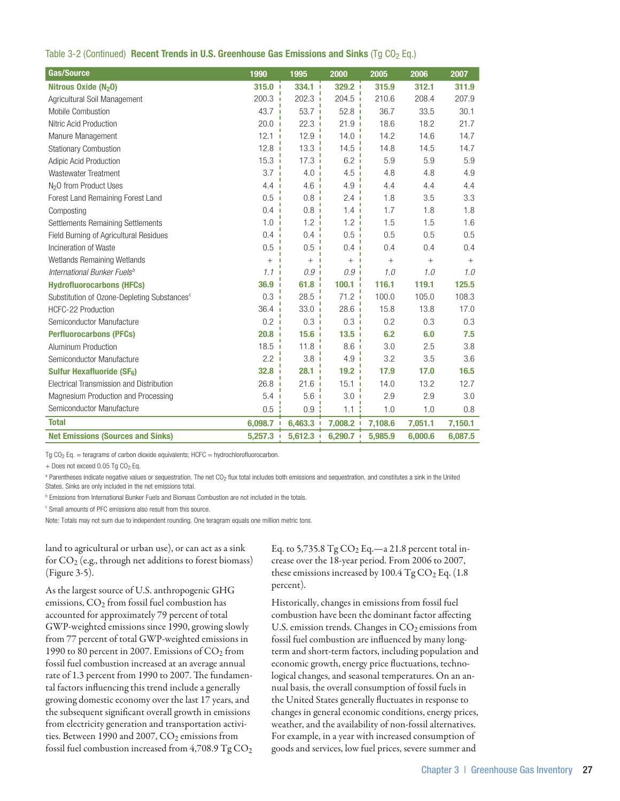|  |  |  | Table 3-2 (Continued) Recent Trends in U.S. Greenhouse Gas Emissions and Sinks (Tg CO <sub>2</sub> Eq.) |
|--|--|--|---------------------------------------------------------------------------------------------------------|
|--|--|--|---------------------------------------------------------------------------------------------------------|

| <b>Gas/Source</b>                                       | 1990                   | 1995                 | 2000                             | 2005    | 2006    | 2007    |
|---------------------------------------------------------|------------------------|----------------------|----------------------------------|---------|---------|---------|
| Nitrous Oxide (N <sub>2</sub> O)                        | $315.0$ $\blacksquare$ | $334.1 -$            | 329.2 +                          | 315.9   | 312.1   | 311.9   |
| Agricultural Soil Management                            | 200.3                  | 202.3                | 204.5 i                          | 210.6   | 208.4   | 207.9   |
| Mobile Combustion                                       | 43.7                   | 53.7 i               | 52.8                             | 36.7    | 33.5    | 30.1    |
| Nitric Acid Production                                  | 20.0                   | 22.3 i               | 21.9i                            | 18.6    | 18.2    | 21.7    |
| Manure Management                                       | 12.1                   | 12.9<br>$\mathbf{I}$ | 14.0<br>J.                       | 14.2    | 14.6    | 14.7    |
| <b>Stationary Combustion</b>                            | 12.8 i                 | 13.3 i               | 14.5<br>J.                       | 14.8    | 14.5    | 14.7    |
| <b>Adipic Acid Production</b>                           | 15.3                   | 17.3<br>п            | 6.2                              | 5.9     | 5.9     | 5.9     |
| Wastewater Treatment                                    | 3.7                    | 4.0 <sub>1</sub>     | 4.5                              | 4.8     | 4.8     | 4.9     |
| N <sub>2</sub> O from Product Uses                      | 4.4                    | 4.6i                 | 4.9<br>J.                        | 4.4     | 4.4     | 4.4     |
| Forest Land Remaining Forest Land                       | 0.5                    | 0.8<br>J.            | 2.4                              | 1.8     | 3.5     | 3.3     |
| Composting                                              | 0.4                    | 0.8 i                | 1.4 <sub>1</sub>                 | 1.7     | 1.8     | 1.8     |
| Settlements Remaining Settlements                       | 1.0                    | 1.2<br>J.            | 1.2                              | 1.5     | 1.5     | 1.6     |
| Field Burning of Agricultural Residues                  | 0.4                    | $0.4 -$              | 0.5<br>п                         | 0.5     | 0.5     | 0.5     |
| Incineration of Waste                                   | 0.5                    | 0.5<br>J.            | 0.4                              | 0.4     | 0.4     | 0.4     |
| Wetlands Remaining Wetlands                             | $^{+}$                 | $^{+}$               | $^{+}$                           | $\, +$  | $+$     | $+$     |
| International Bunker Fuels <sup>b</sup>                 | 1.1                    | 0.9 <sub>1</sub>     | 0.9 <sub>1</sub>                 | 1.0     | 1.0     | 1.0     |
| <b>Hydrofluorocarbons (HFCs)</b>                        | 36.9                   | 61.8<br>J.           | 100.1<br>J.                      | 116.1   | 119.1   | 125.5   |
| Substitution of Ozone-Depleting Substances <sup>c</sup> | 0.3                    | 28.5<br>п            | 71.2<br>$\overline{\phantom{a}}$ | 100.0   | 105.0   | 108.3   |
| HCFC-22 Production                                      | 36.4                   | $33.0 - 1$           | 28.6 i                           | 15.8    | 13.8    | 17.0    |
| Semiconductor Manufacture                               | 0.2                    | $0.3 -$              | $0.3$ i                          | 0.2     | 0.3     | 0.3     |
| <b>Perfluorocarbons (PFCs)</b>                          | 20.8                   | 15.6 i               | 13.5                             | 6.2     | 6.0     | 7.5     |
| Aluminum Production                                     | 18.5                   | 11.8 <sub>1</sub>    | 8.6i                             | 3.0     | 2.5     | 3.8     |
| Semiconductor Manufacture                               | 2.2                    | 3.8<br>л             | 4.9                              | 3.2     | 3.5     | 3.6     |
| <b>Sulfur Hexafluoride (SF6)</b>                        | 32.8                   | 28.1<br>J.           | 19.2 <sub>1</sub>                | 17.9    | 17.0    | 16.5    |
| Electrical Transmission and Distribution                | 26.8                   | 21.6<br>п            | 15.1                             | 14.0    | 13.2    | 12.7    |
| Magnesium Production and Processing                     | 5.4                    | 5.6<br>$\mathbf{I}$  | 3.0                              | 2.9     | 2.9     | 3.0     |
| Semiconductor Manufacture                               | 0.5                    | 0.9                  | 1.1                              | 1.0     | 1.0     | 0.8     |
| <b>Total</b>                                            | 6,098.7                | 6,463.3              | 7,008.2                          | 7,108.6 | 7,051.1 | 7,150.1 |
| <b>Net Emissions (Sources and Sinks)</b>                | 5,257.3                | 5,612.3              | $6,290.7$ i                      | 5,985.9 | 6,000.6 | 6,087.5 |

Tg  $CO<sub>2</sub>$  Eq. = teragrams of carbon dioxide equivalents; HCFC = hydrochlorofluorocarbon.

+ Does not exceed 0.05 Tg CO<sub>2</sub> Eq.

<sup>a</sup> Parentheses indicate negative values or sequestration. The net CO<sub>2</sub> flux total includes both emissions and sequestration, and constitutes a sink in the United States. Sinks are only included in the net emissions total.

**b** Emissions from International Bunker Fuels and Biomass Combustion are not included in the totals.

<sup>c</sup> Small amounts of PFC emissions also result from this source.

Note: Totals may not sum due to independent rounding. One teragram equals one million metric tons.

land to agricultural or urban use), or can act as a sink for  $CO<sub>2</sub>$  (e.g., through net additions to forest biomass) (Figure 3-5).

As the largest source of U.S. anthropogenic GHG emissions,  $CO<sub>2</sub>$  from fossil fuel combustion has accounted for approximately 79 percent of total GWP-weighted emissions since 1990, growing slowly from 77 percent of total GWP-weighted emissions in 1990 to 80 percent in 2007. Emissions of  $CO<sub>2</sub>$  from fossil fuel combustion increased at an average annual rate of 1.3 percent from 1990 to 2007. The fundamental factors influencing this trend include a generally growing domestic economy over the last 17 years, and the subsequent significant overall growth in emissions from electricity generation and transportation activities. Between 1990 and 2007,  $CO<sub>2</sub>$  emissions from fossil fuel combustion increased from  $4,708.9$  Tg  $CO<sub>2</sub>$  Eq. to 5,735.8  $Tg CO<sub>2</sub> Eq. -a 21.8$  percent total increase over the 18-year period. From 2006 to 2007, these emissions increased by  $100.4$  Tg  $CO<sub>2</sub>$  Eq. (1.8) percent).

Historically, changes in emissions from fossil fuel combustion have been the dominant factor affecting U.S. emission trends. Changes in  $CO<sub>2</sub>$  emissions from fossil fuel combustion are influenced by many longterm and short-term factors, including population and economic growth, energy price fluctuations, technological changes, and seasonal temperatures. On an annual basis, the overall consumption of fossil fuels in the United States generally fluctuates in response to changes in general economic conditions, energy prices, weather, and the availability of non-fossil alternatives. For example, in a year with increased consumption of goods and services, low fuel prices, severe summer and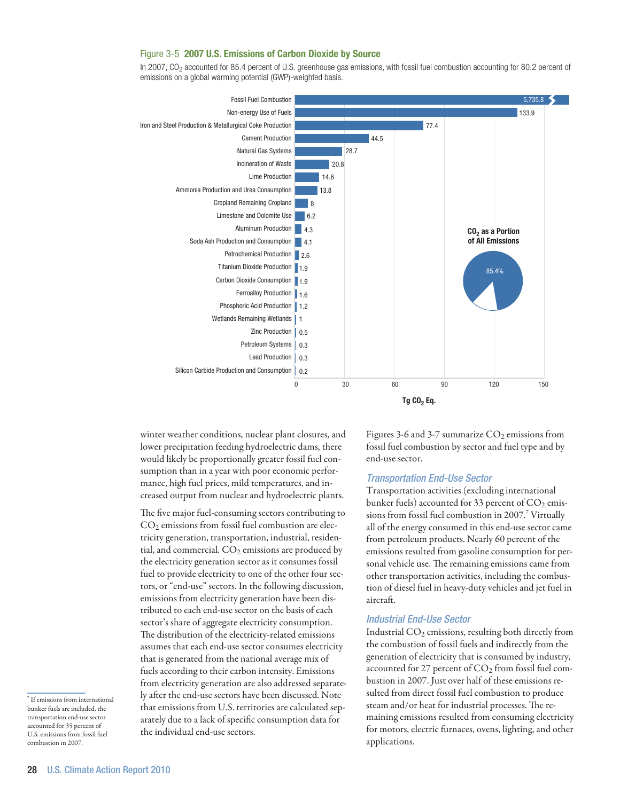## Figure 3-5 2007 U.S. Emissions of Carbon Dioxide by Source

In 2007, CO2 accounted for 85.4 percent of U.S. greenhouse gas emissions, with fossil fuel combustion accounting for 80.2 percent of emissions on a global warming potential (GWP)-weighted basis.



winter weather conditions, nuclear plant closures, and lower precipitation feeding hydroelectric dams, there would likely be proportionally greater fossil fuel consumption than in a year with poor economic performance, high fuel prices, mild temperatures, and increased output from nuclear and hydroelectric plants.

The five major fuel-consuming sectors contributing to  $CO<sub>2</sub>$  emissions from fossil fuel combustion are electricity generation, transportation, industrial, residential, and commercial.  $CO<sub>2</sub>$  emissions are produced by the electricity generation sector as it consumes fossil fuel to provide electricity to one of the other four sectors, or "end-use" sectors. In the following discussion, emissions from electricity generation have been distributed to each end-use sector on the basis of each sector's share of aggregate electricity consumption. The distribution of the electricity-related emissions assumes that each end-use sector consumes electricity that is generated from the national average mix of fuels according to their carbon intensity. Emissions from electricity generation are also addressed separately after the end-use sectors have been discussed. Note that emissions from U.S. territories are calculated separately due to a lack of specific consumption data for the individual end-use sectors.

Figures 3-6 and 3-7 summarize  $CO<sub>2</sub>$  emissions from fossil fuel combustion by sector and fuel type and by end-use sector.

## *Transportation End-Use Sector*

Transportation activities (excluding international bunker fuels) accounted for 33 percent of  $CO<sub>2</sub>$  emissions from fossil fuel combustion in 2007.<sup>7</sup> Virtually all of the energy consumed in this end-use sector came from petroleum products. Nearly 60 percent of the emissions resulted from gasoline consumption for personal vehicle use. The remaining emissions came from other transportation activities, including the combustion of diesel fuel in heavy-duty vehicles and jet fuel in aircraft.

# *Industrial End-Use Sector*

Industrial CO<sub>2</sub> emissions, resulting both directly from the combustion of fossil fuels and indirectly from the generation of electricity that is consumed by industry, accounted for 27 percent of  $CO<sub>2</sub>$  from fossil fuel combustion in 2007. Just over half of these emissions resulted from direct fossil fuel combustion to produce steam and/or heat for industrial processes. The remaining emissions resulted from consuming electricity for motors, electric furnaces, ovens, lighting, and other applications.

<sup>7</sup> If emissions from international bunker fuels are included, the transportation end-use sector accounted for 35 percent of U.S. emissions from fossil fuel combustion in 2007.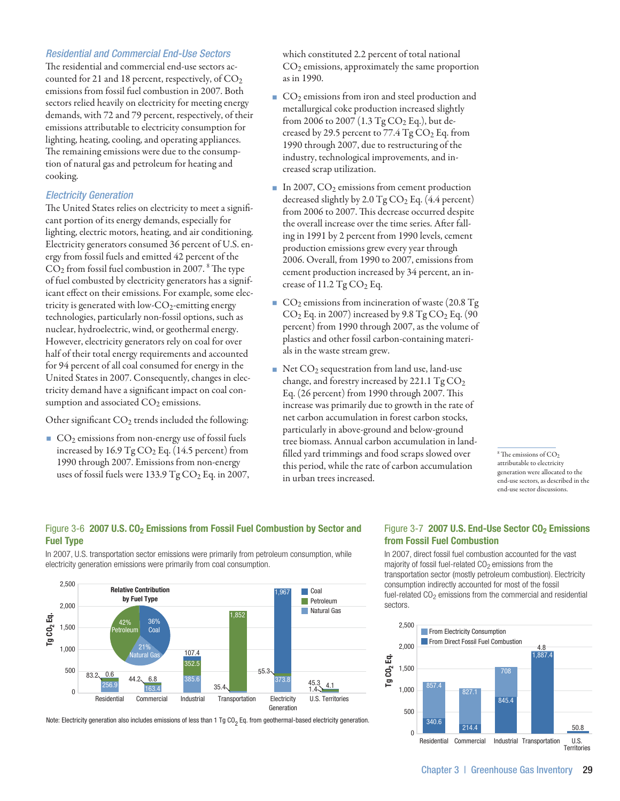## *Residential and Commercial End-Use Sectors*

The residential and commercial end-use sectors accounted for 21 and 18 percent, respectively, of  $CO<sub>2</sub>$ emissions from fossil fuel combustion in 2007. Both sectors relied heavily on electricity for meeting energy demands, with 72 and 79 percent, respectively, of their emissions attributable to electricity consumption for lighting, heating, cooling, and operating appliances. The remaining emissions were due to the consumption of natural gas and petroleum for heating and cooking.

## *Electricity Generation*

The United States relies on electricity to meet a significant portion of its energy demands, especially for lighting, electric motors, heating, and air conditioning. Electricity generators consumed 36 percent of U.S. energy from fossil fuels and emitted 42 percent of the  $CO<sub>2</sub>$  from fossil fuel combustion in 2007.  $^8$  The type of fuel combusted by electricity generators has a significant effect on their emissions. For example, some electricity is generated with low- $CO_2$ -emitting energy technologies, particularly non-fossil options, such as nuclear, hydroelectric, wind, or geothermal energy. However, electricity generators rely on coal for over half of their total energy requirements and accounted for 94 percent of all coal consumed for energy in the United States in 2007. Consequently, changes in electricity demand have a significant impact on coal consumption and associated  $CO<sub>2</sub>$  emissions.

Other significant  $CO<sub>2</sub>$  trends included the following:

CO<sub>2</sub> emissions from non-energy use of fossil fuels increased by  $16.9 \text{ Tg CO}_2$  Eq. (14.5 percent) from 1990 through 2007. Emissions from non-energy uses of fossil fuels were 133.9 Tg  $CO<sub>2</sub>$  Eq. in 2007, which constituted 2.2 percent of total national  $CO<sub>2</sub>$  emissions, approximately the same proportion as in 1990.

- $\Box$  CO<sub>2</sub> emissions from iron and steel production and metallurgical coke production increased slightly from 2006 to 2007 (1.3  $Tg CO<sub>2</sub> Eq.$ ), but decreased by 29.5 percent to 77.4  $Tg CO<sub>2</sub> Eq.$  from 1990 through 2007, due to restructuring of the industry, technological improvements, and increased scrap utilization.
- In 2007,  $CO<sub>2</sub>$  emissions from cement production decreased slightly by 2.0 Tg  $CO<sub>2</sub>$  Eq. (4.4 percent) from 2006 to 2007. This decrease occurred despite the overall increase over the time series. After falling in 1991 by 2 percent from 1990 levels, cement production emissions grew every year through 2006. Overall, from 1990 to 2007, emissions from cement production increased by 34 percent, an increase of  $11.2$  Tg CO<sub>2</sub> Eq.
- $\Box$  CO<sub>2</sub> emissions from incineration of waste (20.8 Tg)  $CO<sub>2</sub>$  Eq. in 2007) increased by 9.8 Tg  $CO<sub>2</sub>$  Eq. (90 percent) from 1990 through 2007, as the volume of plastics and other fossil carbon-containing materials in the waste stream grew.
- Net  $CO<sub>2</sub>$  sequestration from land use, land-use change, and forestry increased by 221.1  $TgCO<sub>2</sub>$ Eq. (26 percent) from 1990 through 2007. This increase was primarily due to growth in the rate of net carbon accumulation in forest carbon stocks, particularly in above-ground and below-ground tree biomass. Annual carbon accumulation in landfilled yard trimmings and food scraps slowed over this period, while the rate of carbon accumulation in urban trees increased.

 $8$  The emissions of  $CO<sub>2</sub>$ attributable to electricity generation were allocated to the end-use sectors, as described in the end-use sector discussions.

## Figure 3-6 2007 U.S. CO<sub>2</sub> Emissions from Fossil Fuel Combustion by Sector and Fuel Type

In 2007, U.S. transportation sector emissions were primarily from petroleum consumption, while electricity generation emissions were primarily from coal consumption.



Note: Electricity generation also includes emissions of less than 1 Tg CO<sub>2</sub> Eq. from geothermal-based electricity generation.

## Figure 3-7 2007 U.S. End-Use Sector CO<sub>2</sub> Emissions from Fossil Fuel Combustion

In 2007, direct fossil fuel combustion accounted for the vast majority of fossil fuel-related  $CO<sub>2</sub>$  emissions from the transportation sector (mostly petroleum combustion). Electricity consumption indirectly accounted for most of the fossil fuel-related CO<sub>2</sub> emissions from the commercial and residential sectors.

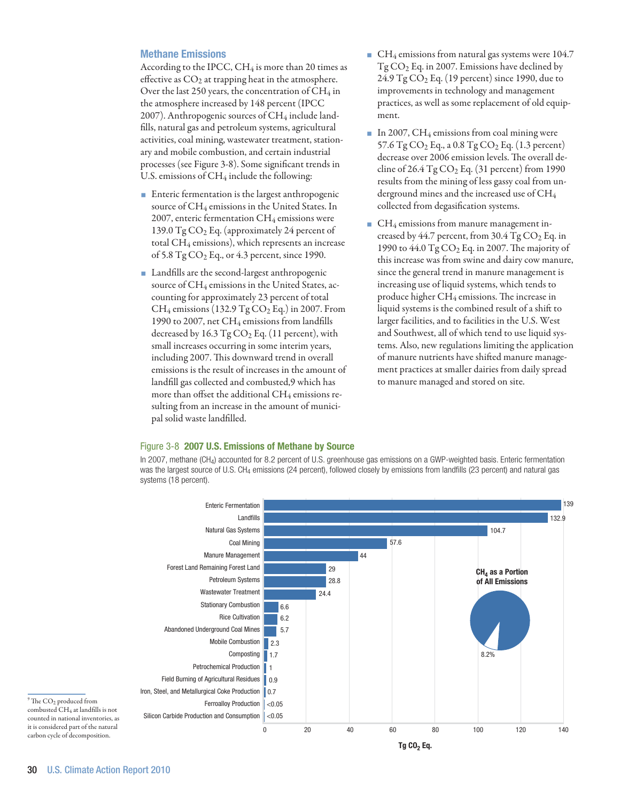## Methane Emissions

According to the IPCC,  $CH_4$  is more than 20 times as effective as  $CO<sub>2</sub>$  at trapping heat in the atmosphere. Over the last 250 years, the concentration of  $CH_4$  in the atmosphere increased by 148 percent (IPCC 2007). Anthropogenic sources of CH<sub>4</sub> include landfills, natural gas and petroleum systems, agricultural activities, coal mining, wastewater treatment, stationary and mobile combustion, and certain industrial processes (see Figure 3-8). Some significant trends in U.S. emissions of  $CH_4$  include the following:

- **Enteric fermentation is the largest anthropogenic** source of CH4 emissions in the United States. In 2007, enteric fermentation CH4 emissions were 139.0  $TgCO<sub>2</sub>$  Eq. (approximately 24 percent of total  $CH_4$  emissions), which represents an increase of 5.8 Tg  $CO<sub>2</sub>$  Eq., or 4.3 percent, since 1990.
- **Landfills are the second-largest anthropogenic** source of CH<sub>4</sub> emissions in the United States, accounting for approximately 23 percent of total  $CH_4$  emissions (132.9 Tg  $CO_2$  Eq.) in 2007. From 1990 to 2007, net CH4 emissions from landfills decreased by  $16.3$  Tg  $CO<sub>2</sub>$  Eq. (11 percent), with small increases occurring in some interim years, including 2007. This downward trend in overall emissions is the result of increases in the amount of landfill gas collected and combusted,9 which has more than offset the additional CH<sub>4</sub> emissions resulting from an increase in the amount of municipal solid waste landfilled.
- $\blacksquare$  CH<sub>4</sub> emissions from natural gas systems were 104.7 Tg CO2 Eq. in 2007. Emissions have declined by 24.9  $TgCO<sub>2</sub>$  Eq. (19 percent) since 1990, due to improvements in technology and management practices, as well as some replacement of old equipment.
- In 2007, CH<sub>4</sub> emissions from coal mining were 57.6  $Tg CO<sub>2</sub> Eq., a 0.8  $Tg CO<sub>2</sub> Eq. (1.3 percent)$$ decrease over 2006 emission levels. The overall decline of  $26.4$  Tg  $CO<sub>2</sub>$  Eq. (31 percent) from 1990 results from the mining of less gassy coal from underground mines and the increased use of CH4 collected from degasification systems.
- $\blacksquare$  CH<sub>4</sub> emissions from manure management increased by  $44.7$  percent, from  $30.4$  Tg  $CO<sub>2</sub>$  Eq. in 1990 to  $44.0$  Tg  $CO<sub>2</sub>$  Eq. in 2007. The majority of this increase was from swine and dairy cow manure, since the general trend in manure management is increasing use of liquid systems, which tends to produce higher  $CH_4$  emissions. The increase in liquid systems is the combined result of a shift to larger facilities, and to facilities in the U.S. West and Southwest, all of which tend to use liquid systems. Also, new regulations limiting the application of manure nutrients have shifted manure management practices at smaller dairies from daily spread to manure managed and stored on site.

#### Figure 3-8 2007 U.S. Emissions of Methane by Source

In 2007, methane (CH4) accounted for 8.2 percent of U.S. greenhouse gas emissions on a GWP-weighted basis. Enteric fermentation was the largest source of U.S. CH<sub>4</sub> emissions (24 percent), followed closely by emissions from landfills (23 percent) and natural gas systems (18 percent).

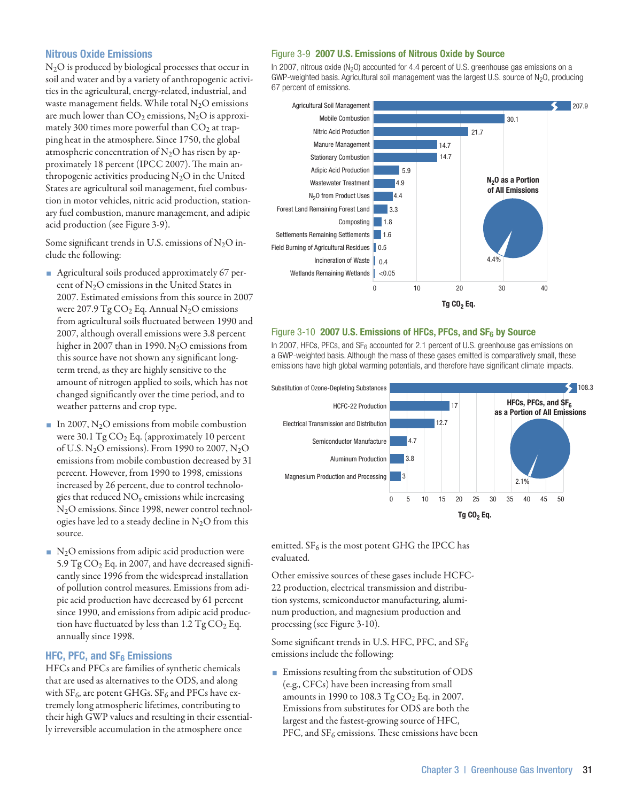## Nitrous Oxide Emissions

N2O is produced by biological processes that occur in soil and water and by a variety of anthropogenic activities in the agricultural, energy-related, industrial, and waste management fields. While total  $N_2O$  emissions are much lower than  $CO<sub>2</sub>$  emissions,  $N<sub>2</sub>O$  is approximately 300 times more powerful than  $CO<sub>2</sub>$  at trapping heat in the atmosphere. Since 1750, the global atmospheric concentration of  $N_2O$  has risen by approximately 18 percent (IPCC 2007). The main anthropogenic activities producing  $N_2O$  in the United States are agricultural soil management, fuel combustion in motor vehicles, nitric acid production, stationary fuel combustion, manure management, and adipic acid production (see Figure 3-9).

Some significant trends in U.S. emissions of  $N_2O$  include the following:

- Agricultural soils produced approximately 67 percent of N2O emissions in the United States in 2007. Estimated emissions from this source in 2007 were 207.9 Tg  $CO<sub>2</sub>$  Eq. Annual N<sub>2</sub>O emissions from agricultural soils fluctuated between 1990 and 2007, although overall emissions were 3.8 percent higher in 2007 than in 1990.  $N_2O$  emissions from this source have not shown any significant longterm trend, as they are highly sensitive to the amount of nitrogen applied to soils, which has not changed significantly over the time period, and to weather patterns and crop type.
- In 2007,  $N_2O$  emissions from mobile combustion were 30.1  $TgCO<sub>2</sub>$  Eq. (approximately 10 percent of U.S. N<sub>2</sub>O emissions). From 1990 to 2007, N<sub>2</sub>O emissions from mobile combustion decreased by 31 percent. However, from 1990 to 1998, emissions increased by 26 percent, due to control technologies that reduced  $NO<sub>x</sub>$  emissions while increasing N2O emissions. Since 1998, newer control technologies have led to a steady decline in  $N_2O$  from this source.
- $\blacksquare$  N<sub>2</sub>O emissions from adipic acid production were 5.9  $TgCO<sub>2</sub>$  Eq. in 2007, and have decreased significantly since 1996 from the widespread installation of pollution control measures. Emissions from adipic acid production have decreased by 61 percent since 1990, and emissions from adipic acid production have fluctuated by less than  $1.2 \text{ Tg CO}_2$  Eq. annually since 1998.

## HFC, PFC, and  $SF<sub>6</sub>$  Emissions

HFCs and PFCs are families of synthetic chemicals that are used as alternatives to the ODS, and along with  $SF_6$ , are potent GHGs.  $SF_6$  and PFCs have extremely long atmospheric lifetimes, contributing to their high GWP values and resulting in their essentially irreversible accumulation in the atmosphere once

#### Figure 3-9 2007 U.S. Emissions of Nitrous Oxide by Source

In 2007, nitrous oxide ( $N<sub>2</sub>$ O) accounted for 4.4 percent of U.S. greenhouse gas emissions on a GWP-weighted basis. Agricultural soil management was the largest U.S. source of  $N_2O$ , producing 67 percent of emissions.



#### Figure 3-10 2007 U.S. Emissions of HFCs, PFCs, and  $SF_6$  by Source

In 2007, HFCs, PFCs, and  $SF_6$  accounted for 2.1 percent of U.S. greenhouse gas emissions on a GWP-weighted basis. Although the mass of these gases emitted is comparatively small, these emissions have high global warming potentials, and therefore have significant climate impacts.



emitted.  $SF_6$  is the most potent GHG the IPCC has evaluated.

Other emissive sources of these gases include HCFC-22 production, electrical transmission and distribution systems, semiconductor manufacturing, aluminum production, and magnesium production and processing (see Figure 3-10).

Some significant trends in U.S. HFC, PFC, and  $SF_6$ emissions include the following:

**Emissions resulting from the substitution of ODS** (e.g., CFCs) have been increasing from small amounts in 1990 to 108.3  $TgCO<sub>2</sub>$  Eq. in 2007. Emissions from substitutes for ODS are both the largest and the fastest-growing source of HFC, PFC, and  $SF_6$  emissions. These emissions have been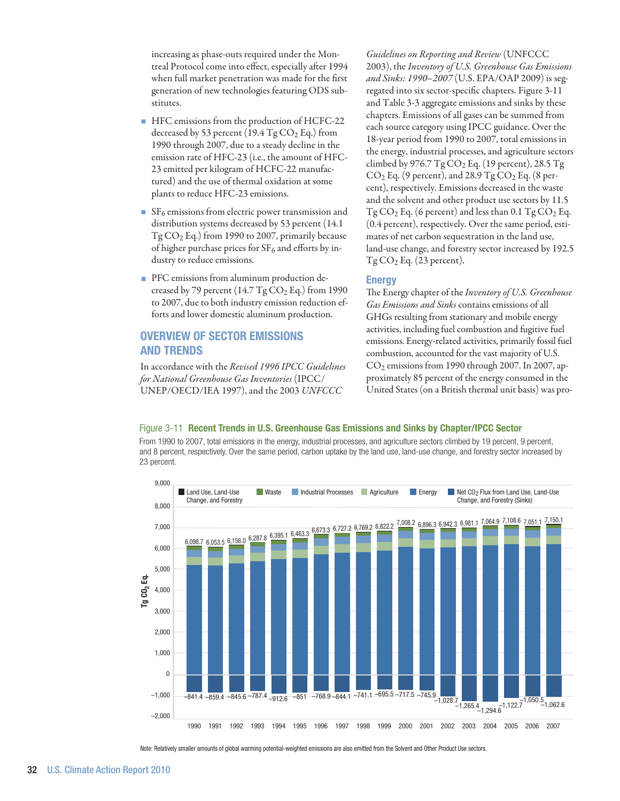increasing as phase-outs required under the Montreal Protocol come into effect, especially after 1994 when full market penetration was made for the first generation of new technologies featuring ODS substitutes.

- HFC emissions from the production of HCFC-22 decreased by 53 percent (19.4  $Tg CO<sub>2</sub> Eq.$ ) from 1990 through 2007, due to a steady decline in the emission rate of HFC-23 (i.e., the amount of HFC-23 emitted per kilogram of HCFC-22 manufactured) and the use of thermal oxidation at some plants to reduce HFC-23 emissions.
- $S_{6}$  emissions from electric power transmission and distribution systems decreased by 53 percent (14.1 Tg CO2 Eq.) from 1990 to 2007, primarily because of higher purchase prices for  $SF_6$  and efforts by industry to reduce emissions.
- **PFC** emissions from aluminum production decreased by 79 percent  $(14.7 \text{ Tg CO}_2 \text{ Eq.})$  from 1990 to 2007, due to both industry emission reduction efforts and lower domestic aluminum production.

# Overview of Sector Emissions and Trends

In accordance with the *Revised 1996 IPCC Guidelines for National Greenhouse Gas Inventories* (IPCC/ UNEP/OECD/IEA 1997), and the 2003 *UNFCCC* 

*Guidelines on Reporting and Review* (UNFCCC 2003), the *Inventory of U.S. Greenhouse Gas Emissions and Sinks: 1990–2007* (U.S. EPA/OAP 2009) is segregated into six sector-specific chapters. Figure 3-11 and Table 3-3 aggregate emissions and sinks by these chapters. Emissions of all gases can be summed from each source category using IPCC guidance. Over the 18-year period from 1990 to 2007, total emissions in the energy, industrial processes, and agriculture sectors climbed by 976.7 Tg  $CO<sub>2</sub>$  Eq. (19 percent), 28.5 Tg  $CO<sub>2</sub>$  Eq. (9 percent), and 28.9 Tg  $CO<sub>2</sub>$  Eq. (8 percent), respectively. Emissions decreased in the waste and the solvent and other product use sectors by 11.5  $Tg CO<sub>2</sub> Eq. (6 percent)$  and less than 0.1  $Tg CO<sub>2</sub> Eq.$ (0.4 percent), respectively. Over the same period, estimates of net carbon sequestration in the land use, land-use change, and forestry sector increased by 192.5  $Tg CO<sub>2</sub> Eq. (23 percent).$ 

## **Energy**

The Energy chapter of the *Inventory of U.S. Greenhouse Gas Emissions and Sinks* contains emissions of all GHGs resulting from stationary and mobile energy activities, including fuel combustion and fugitive fuel emissions. Energy-related activities, primarily fossil fuel combustion, accounted for the vast majority of U.S. CO2 emissions from 1990 through 2007. In 2007, approximately 85 percent of the energy consumed in the United States (on a British thermal unit basis) was pro-

## Figure 3-11 Recent Trends in U.S. Greenhouse Gas Emissions and Sinks by Chapter/IPCC Sector

From 1990 to 2007, total emissions in the energy, industrial processes, and agriculture sectors climbed by 19 percent, 9 percent, and 8 percent, respectively. Over the same period, carbon uptake by the land use, land-use change, and forestry sector increased by 23 percent.



Note: Relatively smaller amounts of global warming potential-weighted emissions are also emitted from the Solvent and Other Product Use sectors.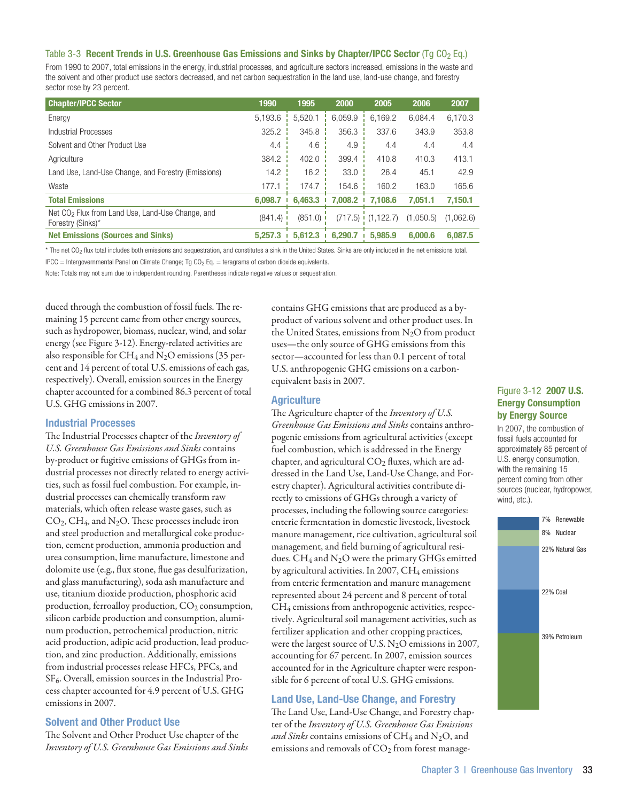#### Table 3-3 Recent Trends in U.S. Greenhouse Gas Emissions and Sinks by Chapter/IPCC Sector (Tg CO<sub>2</sub> Eq.)

From 1990 to 2007, total emissions in the energy, industrial processes, and agriculture sectors increased, emissions in the waste and the solvent and other product use sectors decreased, and net carbon sequestration in the land use, land-use change, and forestry sector rose by 23 percent.

| <b>Chapter/IPCC Sector</b>                                                        | 1990    | 1995        | 2000         | 2005                  | 2006      | 2007      |
|-----------------------------------------------------------------------------------|---------|-------------|--------------|-----------------------|-----------|-----------|
| Energy                                                                            | 5,193.6 | 5,520.1     | 6.059.9      | 6.169.2               | 6.084.4   | 6,170.3   |
| Industrial Processes                                                              | 325.2   | 345.8       | 356.3        | 337.6                 | 343.9     | 353.8     |
| Solvent and Other Product Use                                                     | 4.4     | 4.6         | 4.9          | 4.4                   | 4.4       | 4.4       |
| Agriculture                                                                       | 384.2   | 402.0       | 399.4        | 410.8                 | 410.3     | 413.1     |
| Land Use, Land-Use Change, and Forestry (Emissions)                               | 14.2    | 16.2        | 33.0         | 26.4                  | 45.1      | 42.9      |
| Waste                                                                             | 177.1   | 174.7       | 154.6        | 160.2                 | 163.0     | 165.6     |
| <b>Total Emissions</b>                                                            | 6.098.7 | 6.463.3     | 7.008.2<br>п | 7.108.6               | 7.051.1   | 7,150.1   |
| Net CO <sub>2</sub> Flux from Land Use, Land-Use Change, and<br>Forestry (Sinks)* | (841.4) | $(851.0)$ i |              | $(717.5)$ $(1,122.7)$ | (1,050.5) | (1,062.6) |
| <b>Net Emissions (Sources and Sinks)</b>                                          | 5,257,3 | 5.612.3     | 6,290.7      | 5.985.9               | 6.000.6   | 6.087.5   |

\* The net CO<sub>2</sub> flux total includes both emissions and sequestration, and constitutes a sink in the United States. Sinks are only included in the net emissions total.

IPCC = Intergovernmental Panel on Climate Change; Tg CO<sub>2</sub> Eq. = teragrams of carbon dioxide equivalents.

Note: Totals may not sum due to independent rounding. Parentheses indicate negative values or sequestration.

duced through the combustion of fossil fuels. The remaining 15 percent came from other energy sources, such as hydropower, biomass, nuclear, wind, and solar energy (see Figure 3-12). Energy-related activities are also responsible for CH<sub>4</sub> and N<sub>2</sub>O emissions (35 percent and 14 percent of total U.S. emissions of each gas, respectively). Overall, emission sources in the Energy chapter accounted for a combined 86.3 percent of total U.S. GHG emissions in 2007.

#### Industrial Processes

The Industrial Processes chapter of the *Inventory of U.S. Greenhouse Gas Emissions and Sinks* contains by-product or fugitive emissions of GHGs from industrial processes not directly related to energy activities, such as fossil fuel combustion. For example, industrial processes can chemically transform raw materials, which often release waste gases, such as CO2, CH4, and N2O. These processes include iron and steel production and metallurgical coke production, cement production, ammonia production and urea consumption, lime manufacture, limestone and dolomite use (e.g., flux stone, flue gas desulfurization, and glass manufacturing), soda ash manufacture and use, titanium dioxide production, phosphoric acid production, ferroalloy production, CO<sub>2</sub> consumption, silicon carbide production and consumption, aluminum production, petrochemical production, nitric acid production, adipic acid production, lead production, and zinc production. Additionally, emissions from industrial processes release HFCs, PFCs, and SF<sub>6</sub>. Overall, emission sources in the Industrial Process chapter accounted for 4.9 percent of U.S. GHG emissions in 2007.

## Solvent and Other Product Use

The Solvent and Other Product Use chapter of the *Inventory of U.S. Greenhouse Gas Emissions and Sinks*  contains GHG emissions that are produced as a byproduct of various solvent and other product uses. In the United States, emissions from  $N_2O$  from product uses—the only source of GHG emissions from this sector—accounted for less than 0.1 percent of total U.S. anthropogenic GHG emissions on a carbonequivalent basis in 2007.

#### **Agriculture**

The Agriculture chapter of the *Inventory of U.S. Greenhouse Gas Emissions and Sinks* contains anthropogenic emissions from agricultural activities (except fuel combustion, which is addressed in the Energy chapter, and agricultural  $CO<sub>2</sub>$  fluxes, which are addressed in the Land Use, Land-Use Change, and Forestry chapter). Agricultural activities contribute directly to emissions of GHGs through a variety of processes, including the following source categories: enteric fermentation in domestic livestock, livestock manure management, rice cultivation, agricultural soil management, and field burning of agricultural residues. CH<sub>4</sub> and N<sub>2</sub>O were the primary GHGs emitted by agricultural activities. In 2007,  $CH_4$  emissions from enteric fermentation and manure management represented about 24 percent and 8 percent of total CH4 emissions from anthropogenic activities, respectively. Agricultural soil management activities, such as fertilizer application and other cropping practices, were the largest source of U.S. N2O emissions in 2007, accounting for 67 percent. In 2007, emission sources accounted for in the Agriculture chapter were responsible for 6 percent of total U.S. GHG emissions.

## Land Use, Land-Use Change, and Forestry

The Land Use, Land-Use Change, and Forestry chapter of the *Inventory of U.S. Greenhouse Gas Emissions*  and Sinks contains emissions of CH<sub>4</sub> and N<sub>2</sub>O, and emissions and removals of  $CO<sub>2</sub>$  from forest manage-

## Figure 3-12 2007 U.S. Energy Consumption by Energy Source

In 2007, the combustion of fossil fuels accounted for approximately 85 percent of U.S. energy consumption, with the remaining 15 percent coming from other sources (nuclear, hydropower, wind, etc.).

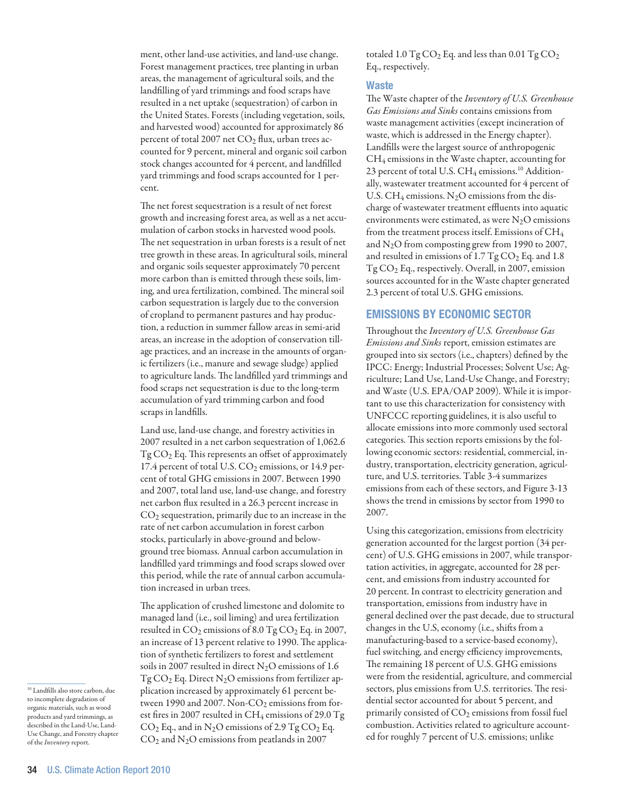ment, other land-use activities, and land-use change. Forest management practices, tree planting in urban areas, the management of agricultural soils, and the landfilling of yard trimmings and food scraps have resulted in a net uptake (sequestration) of carbon in the United States. Forests (including vegetation, soils, and harvested wood) accounted for approximately 86 percent of total 2007 net  $CO<sub>2</sub>$  flux, urban trees accounted for 9 percent, mineral and organic soil carbon stock changes accounted for 4 percent, and landfilled yard trimmings and food scraps accounted for 1 percent.

The net forest sequestration is a result of net forest growth and increasing forest area, as well as a net accumulation of carbon stocks in harvested wood pools. The net sequestration in urban forests is a result of net tree growth in these areas. In agricultural soils, mineral and organic soils sequester approximately 70 percent more carbon than is emitted through these soils, liming, and urea fertilization, combined. The mineral soil carbon sequestration is largely due to the conversion of cropland to permanent pastures and hay production, a reduction in summer fallow areas in semi-arid areas, an increase in the adoption of conservation tillage practices, and an increase in the amounts of organic fertilizers (i.e., manure and sewage sludge) applied to agriculture lands. The landfilled yard trimmings and food scraps net sequestration is due to the long-term accumulation of yard trimming carbon and food scraps in landfills.

Land use, land-use change, and forestry activities in 2007 resulted in a net carbon sequestration of 1,062.6  $Tg\mathrm{CO}_2$  Eq. This represents an offset of approximately 17.4 percent of total U.S. CO<sub>2</sub> emissions, or 14.9 percent of total GHG emissions in 2007. Between 1990 and 2007, total land use, land-use change, and forestry net carbon flux resulted in a 26.3 percent increase in  $CO<sub>2</sub>$  sequestration, primarily due to an increase in the rate of net carbon accumulation in forest carbon stocks, particularly in above-ground and belowground tree biomass. Annual carbon accumulation in landfilled yard trimmings and food scraps slowed over this period, while the rate of annual carbon accumulation increased in urban trees.

The application of crushed limestone and dolomite to managed land (i.e., soil liming) and urea fertilization resulted in  $CO_2$  emissions of 8.0 Tg  $CO_2$  Eq. in 2007, an increase of 13 percent relative to 1990. The application of synthetic fertilizers to forest and settlement soils in 2007 resulted in direct  $N_2O$  emissions of 1.6  $Tg\,CO<sub>2</sub>$  Eq. Direct N<sub>2</sub>O emissions from fertilizer application increased by approximately 61 percent between 1990 and 2007. Non-CO<sub>2</sub> emissions from forest fires in 2007 resulted in  $\text{CH}_4$  emissions of 29.0 Tg  $CO<sub>2</sub>$  Eq., and in N<sub>2</sub>O emissions of 2.9 Tg  $CO<sub>2</sub>$  Eq. CO2 and N2O emissions from peatlands in 2007

totaled  $1.0$  Tg  $CO<sub>2</sub>$  Eq. and less than 0.01 Tg  $CO<sub>2</sub>$ Eq., respectively.

## **Waste**

The Waste chapter of the *Inventory of U.S. Greenhouse Gas Emissions and Sinks* contains emissions from waste management activities (except incineration of waste, which is addressed in the Energy chapter). Landfills were the largest source of anthropogenic CH4 emissions in the Waste chapter, accounting for 23 percent of total U.S.  $CH_4$  emissions.<sup>10</sup> Additionally, wastewater treatment accounted for 4 percent of U.S.  $CH_4$  emissions. N<sub>2</sub>O emissions from the discharge of wastewater treatment effluents into aquatic environments were estimated, as were  $N_2O$  emissions from the treatment process itself. Emissions of CH4 and N2O from composting grew from 1990 to 2007, and resulted in emissions of  $1.7$  Tg  $CO<sub>2</sub>$  Eq. and  $1.8$ Tg CO2 Eq., respectively. Overall, in 2007, emission sources accounted for in the Waste chapter generated 2.3 percent of total U.S. GHG emissions.

## Emissions by Economic Sector

Throughout the *Inventory of U.S. Greenhouse Gas Emissions and Sinks* report, emission estimates are grouped into six sectors (i.e., chapters) defined by the IPCC: Energy; Industrial Processes; Solvent Use; Agriculture; Land Use, Land-Use Change, and Forestry; and Waste (U.S. EPA/OAP 2009). While it is important to use this characterization for consistency with UNFCCC reporting guidelines, it is also useful to allocate emissions into more commonly used sectoral categories. This section reports emissions by the following economic sectors: residential, commercial, industry, transportation, electricity generation, agriculture, and U.S. territories. Table 3-4 summarizes emissions from each of these sectors, and Figure 3-13 shows the trend in emissions by sector from 1990 to 2007.

Using this categorization, emissions from electricity generation accounted for the largest portion (34 percent) of U.S. GHG emissions in 2007, while transportation activities, in aggregate, accounted for 28 percent, and emissions from industry accounted for 20 percent. In contrast to electricity generation and transportation, emissions from industry have in general declined over the past decade, due to structural changes in the U.S, economy (i.e., shifts from a manufacturing-based to a service-based economy), fuel switching, and energy efficiency improvements, The remaining 18 percent of U.S. GHG emissions were from the residential, agriculture, and commercial sectors, plus emissions from U.S. territories. The residential sector accounted for about 5 percent, and primarily consisted of  $CO<sub>2</sub>$  emissions from fossil fuel combustion. Activities related to agriculture accounted for roughly 7 percent of U.S. emissions; unlike

<sup>10</sup> Landfills also store carbon, due to incomplete degradation of organic materials, such as wood products and yard trimmings, as described in the Land-Use, Land-Use Change, and Forestry chapter of the *Inventory* report.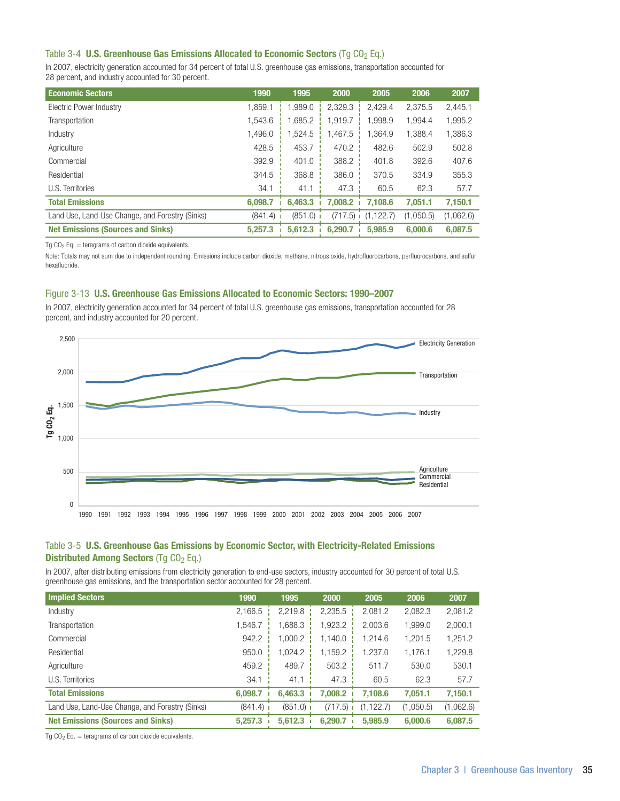## Table 3-4 U.S. Greenhouse Gas Emissions Allocated to Economic Sectors (Tg  $CO<sub>2</sub>$  Eq.)

In 2007, electricity generation accounted for 34 percent of total U.S. greenhouse gas emissions, transportation accounted for 28 percent, and industry accounted for 30 percent.

| <b>Economic Sectors</b>                         | 1990    | 1995        | 2000    | 2005       | 2006      | 2007      |
|-------------------------------------------------|---------|-------------|---------|------------|-----------|-----------|
| Electric Power Industry                         | 1.859.1 | 1.989.0     | 2,329.3 | 2.429.4    | 2.375.5   | 2,445.1   |
| Transportation                                  | 1.543.6 | 1.685.2     | 1.919.7 | 1.998.9    | 1.994.4   | 1,995.2   |
| Industry                                        | 1.496.0 | 1.524.5     | 1.467.5 | 1.364.9    | 1.388.4   | 1,386.3   |
| Agriculture                                     | 428.5   | 453.7       | 470.2   | 482.6      | 502.9     | 502.8     |
| Commercial                                      | 392.9   | 401.0       | 388.2   | 401.8      | 392.6     | 407.6     |
| Residential                                     | 344.5   | 368.8       | 386.0   | 370.5      | 334.9     | 355.3     |
| U.S. Territories                                | 34.1    | 41.1        | 47.3    | 60.5       | 62.3      | 57.7      |
| <b>Total Emissions</b>                          | 6,098.7 | 6,463.3     | 7.008.2 | 7.108.6    | 7.051.1   | 7,150.1   |
| Land Use, Land-Use Change, and Forestry (Sinks) | (841.4) | $(851.0)$ i | (717.5) | (1, 122.7) | (1.050.5) | (1,062.6) |
| <b>Net Emissions (Sources and Sinks)</b>        | 5.257.3 | 5.612.3     | 6.290.7 | 5.985.9    | 6,000.6   | 6.087.5   |

Tg  $CO<sub>2</sub>$  Eq. = teragrams of carbon dioxide equivalents.

Note: Totals may not sum due to independent rounding. Emissions include carbon dioxide, methane, nitrous oxide, hydrofluorocarbons, perfluorocarbons, and sulfur hexafluoride.

#### Figure 3-13 U.S. Greenhouse Gas Emissions Allocated to Economic Sectors: 1990–2007

In 2007, electricity generation accounted for 34 percent of total U.S. greenhouse gas emissions, transportation accounted for 28 percent, and industry accounted for 20 percent.



## Table 3-5 U.S. Greenhouse Gas Emissions by Economic Sector, with Electricity-Related Emissions Distributed Among Sectors (Tq CO<sub>2</sub> Eq.)

In 2007, after distributing emissions from electricity generation to end-use sectors, industry accounted for 30 percent of total U.S. greenhouse gas emissions, and the transportation sector accounted for 28 percent.

| <b>Implied Sectors</b>                          | 1990        | 1995        | 2000    | 2005       | 2006      | 2007      |
|-------------------------------------------------|-------------|-------------|---------|------------|-----------|-----------|
| Industry                                        | 2.166.5     | 2.219.8     | 2,235.5 | 2.081.2    | 2,082.3   | 2,081.2   |
| Transportation                                  | 1.546.7     | 1.688.3     | 1,923.2 | 2.003.6    | 1,999.0   | 2,000.1   |
| Commercial                                      | 942.2       | 1.000.2     | 1.140.0 | 1.214.6    | 1,201.5   | 1,251.2   |
| Residential                                     | 950.0       | 1.024.2     | 1.159.2 | 1.237.0    | 1.176.1   | 1,229.8   |
| Agriculture                                     | 459.2       | 489.7       | 503.2   | 511.7      | 530.0     | 530.1     |
| U.S. Territories                                | 34.1        | 41.1        | 47.3    | 60.5       | 62.3      | 57.7      |
| <b>Total Emissions</b>                          | 6.098.7     | 6,463.3     | 7.008.2 | 7.108.6    | 7.051.1   | 7,150.1   |
| Land Use, Land-Use Change, and Forestry (Sinks) | $(841.4)$ 1 | $(851.0)$ i | (717.5) | (1, 122.7) | (1,050.5) | (1,062.6) |
| <b>Net Emissions (Sources and Sinks)</b>        | 5.257.3     | 5.612.3     | 6.290.7 | 5.985.9    | 6,000.6   | 6,087.5   |

Tg  $CO<sub>2</sub>$  Eq. = teragrams of carbon dioxide equivalents.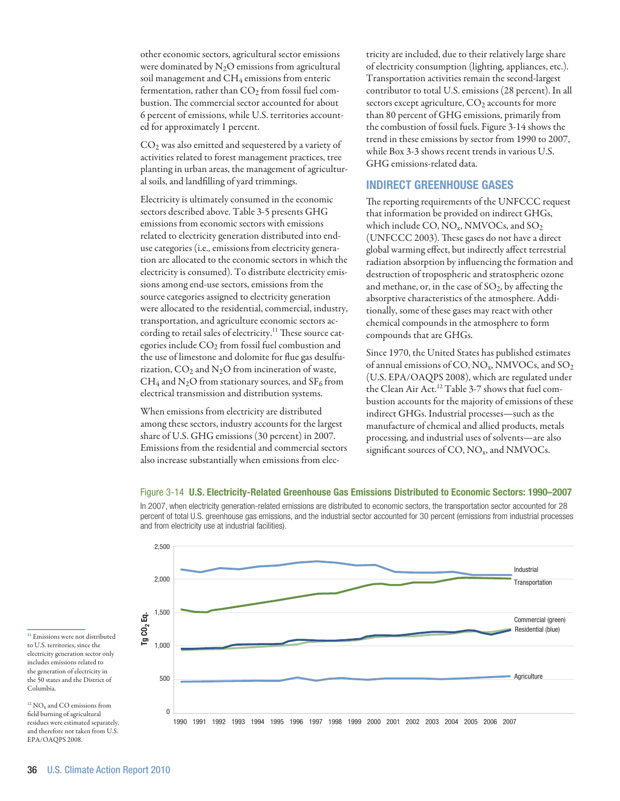other economic sectors, agricultural sector emissions were dominated by  $N_2O$  emissions from agricultural soil management and CH<sub>4</sub> emissions from enteric fermentation, rather than  $CO<sub>2</sub>$  from fossil fuel combustion. The commercial sector accounted for about 6 percent of emissions, while U.S. territories accounted for approximately 1 percent.

CO2 was also emitted and sequestered by a variety of activities related to forest management practices, tree planting in urban areas, the management of agricultural soils, and landfilling of yard trimmings.

Electricity is ultimately consumed in the economic sectors described above. Table 3-5 presents GHG emissions from economic sectors with emissions related to electricity generation distributed into enduse categories (i.e., emissions from electricity generation are allocated to the economic sectors in which the electricity is consumed). To distribute electricity emissions among end-use sectors, emissions from the source categories assigned to electricity generation were allocated to the residential, commercial, industry, transportation, and agriculture economic sectors according to retail sales of electricity.<sup>11</sup> These source categories include CO<sub>2</sub> from fossil fuel combustion and the use of limestone and dolomite for flue gas desulfurization,  $CO_2$  and  $N_2O$  from incineration of waste,  $CH_4$  and N<sub>2</sub>O from stationary sources, and SF<sub>6</sub> from electrical transmission and distribution systems.

When emissions from electricity are distributed among these sectors, industry accounts for the largest share of U.S. GHG emissions (30 percent) in 2007. Emissions from the residential and commercial sectors also increase substantially when emissions from elec-

tricity are included, due to their relatively large share of electricity consumption (lighting, appliances, etc.). Transportation activities remain the second-largest contributor to total U.S. emissions (28 percent). In all sectors except agriculture,  $CO<sub>2</sub>$  accounts for more than 80 percent of GHG emissions, primarily from the combustion of fossil fuels. Figure 3-14 shows the trend in these emissions by sector from 1990 to 2007, while Box 3-3 shows recent trends in various U.S. GHG emissions-related data.

# Indirect Greenhouse Gases

The reporting requirements of the UNFCCC request that information be provided on indirect GHGs, which include CO,  $NO_x$ , NMVOCs, and  $SO_2$ (UNFCCC 2003). These gases do not have a direct global warming effect, but indirectly affect terrestrial radiation absorption by influencing the formation and destruction of tropospheric and stratospheric ozone and methane, or, in the case of  $SO_2$ , by affecting the absorptive characteristics of the atmosphere. Additionally, some of these gases may react with other chemical compounds in the atmosphere to form compounds that are GHGs.

Since 1970, the United States has published estimates of annual emissions of CO,  $NO_x$ , NMVOCs, and  $SO_2$ (U.S. EPA/OAQPS 2008), which are regulated under the Clean Air Act.<sup>12</sup> Table 3-7 shows that fuel combustion accounts for the majority of emissions of these indirect GHGs. Industrial processes—such as the manufacture of chemical and allied products, metals processing, and industrial uses of solvents—are also significant sources of CO, NO<sub>x</sub>, and NMVOCs.



Figure 3-14 U.S. Electricity-Related Greenhouse Gas Emissions Distributed to Economic Sectors: 1990–2007 In 2007, when electricity generation-related emissions are distributed to economic sectors, the transportation sector accounted for 28 percent of total U.S. greenhouse gas emissions, and the industrial sector accounted for 30 percent (emissions from industrial processes

to U.S. territories, since the electricity generation sector only includes emissions related to the generation of electricity in the 50 states and the District of Columbia.

 $12$  NO<sub>x</sub> and CO emissions from field burning of agricultural residues were estimated separately, and therefore not taken from U.S. EPA/OAQPS 2008.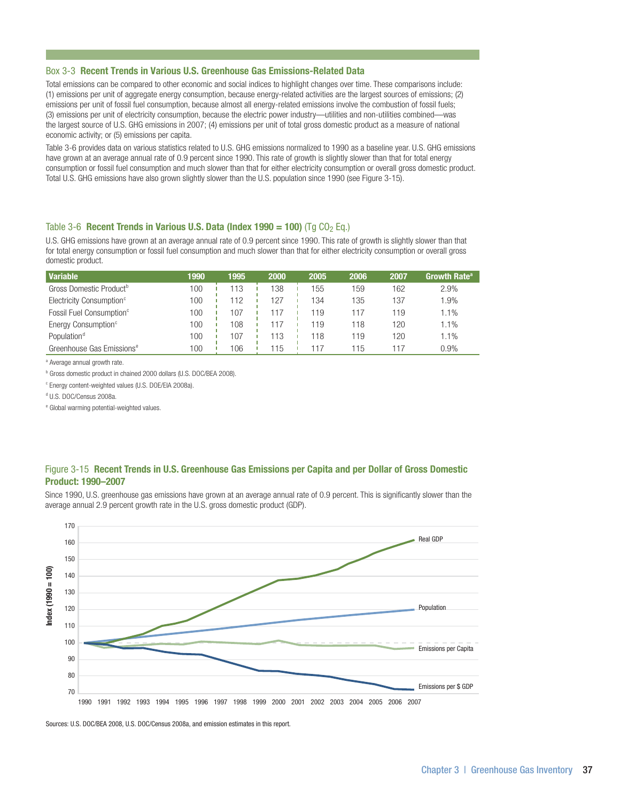#### Box 3-3 Recent Trends in Various U.S. Greenhouse Gas Emissions-Related Data

Total emissions can be compared to other economic and social indices to highlight changes over time. These comparisons include: (1) emissions per unit of aggregate energy consumption, because energy-related activities are the largest sources of emissions; (2) emissions per unit of fossil fuel consumption, because almost all energy-related emissions involve the combustion of fossil fuels; (3) emissions per unit of electricity consumption, because the electric power industry—utilities and non-utilities combined—was the largest source of U.S. GHG emissions in 2007; (4) emissions per unit of total gross domestic product as a measure of national economic activity; or (5) emissions per capita.

Table 3-6 provides data on various statistics related to U.S. GHG emissions normalized to 1990 as a baseline year. U.S. GHG emissions have grown at an average annual rate of 0.9 percent since 1990. This rate of growth is slightly slower than that for total energy consumption or fossil fuel consumption and much slower than that for either electricity consumption or overall gross domestic product. Total U.S. GHG emissions have also grown slightly slower than the U.S. population since 1990 (see Figure 3-15).

## Table 3-6 Recent Trends in Various U.S. Data (Index 1990 = 100) (Tg  $CO<sub>2</sub>$  Eq.)

U.S. GHG emissions have grown at an average annual rate of 0.9 percent since 1990. This rate of growth is slightly slower than that for total energy consumption or fossil fuel consumption and much slower than that for either electricity consumption or overall gross domestic product.

| <b>Variable</b>                       | 1990 | 1995 | 2000 | 2005 | 2006 | 2007 | Growth Rate <sup>a</sup> |
|---------------------------------------|------|------|------|------|------|------|--------------------------|
| Gross Domestic Product <sup>b</sup>   | 100  | 113  | 138  | 155  | 159  | 162  | 2.9%                     |
| Electricity Consumption <sup>c</sup>  | 100  |      | 127  | 134  | 135  | 137  | 1.9%                     |
| Fossil Fuel Consumption <sup>c</sup>  | 100  | 107  |      | 119  | 117  | 119  | 1.1%                     |
| Energy Consumption <sup>c</sup>       | 100  | 108  |      | 119  | 118  | 120  | 1.1%                     |
| Population <sup>d</sup>               | 100  | 107  | 113  | 118  | 119  | 120  | 1.1%                     |
| Greenhouse Gas Emissions <sup>e</sup> | 100  | 106  | 15   |      | 115  |      | 0.9%                     |

<sup>a</sup> Average annual growth rate.

<sup>b</sup> Gross domestic product in chained 2000 dollars (U.S. DOC/BEA 2008).

c Energy content-weighted values (U.S. DOE/EIA 2008a).

d U.S. DOC/Census 2008a.

e Global warming potential-weighted values.

## Figure 3-15 Recent Trends in U.S. Greenhouse Gas Emissions per Capita and per Dollar of Gross Domestic Product: 1990–2007

Since 1990, U.S. greenhouse gas emissions have grown at an average annual rate of 0.9 percent. This is significantly slower than the average annual 2.9 percent growth rate in the U.S. gross domestic product (GDP).



Sources: U.S. DOC/BEA 2008, U.S. DOC/Census 2008a, and emission estimates in this report.